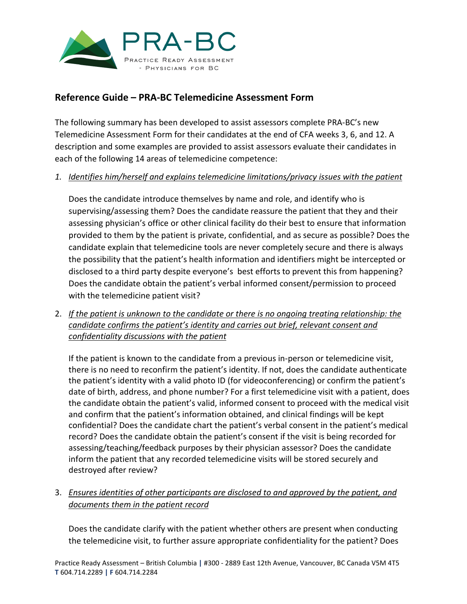

# **Reference Guide – PRA-BC Telemedicine Assessment Form**

The following summary has been developed to assist assessors complete PRA-BC's new Telemedicine Assessment Form for their candidates at the end of CFA weeks 3, 6, and 12. A description and some examples are provided to assist assessors evaluate their candidates in each of the following 14 areas of telemedicine competence:

### *1. Identifies him/herself and explains telemedicine limitations/privacy issues with the patient*

Does the candidate introduce themselves by name and role, and identify who is supervising/assessing them? Does the candidate reassure the patient that they and their assessing physician's office or other clinical facility do their best to ensure that information provided to them by the patient is private, confidential, and as secure as possible? Does the candidate explain that telemedicine tools are never completely secure and there is always the possibility that the patient's health information and identifiers might be intercepted or disclosed to a third party despite everyone's best efforts to prevent this from happening? Does the candidate obtain the patient's verbal informed consent/permission to proceed with the telemedicine patient visit?

2. *If the patient is unknown to the candidate or there is no ongoing treating relationship: the candidate confirms the patient's identity and carries out brief, relevant consent and confidentiality discussions with the patient*

If the patient is known to the candidate from a previous in-person or telemedicine visit, there is no need to reconfirm the patient's identity. If not, does the candidate authenticate the patient's identity with a valid photo ID (for videoconferencing) or confirm the patient's date of birth, address, and phone number? For a first telemedicine visit with a patient, does the candidate obtain the patient's valid, informed consent to proceed with the medical visit and confirm that the patient's information obtained, and clinical findings will be kept confidential? Does the candidate chart the patient's verbal consent in the patient's medical record? Does the candidate obtain the patient's consent if the visit is being recorded for assessing/teaching/feedback purposes by their physician assessor? Does the candidate inform the patient that any recorded telemedicine visits will be stored securely and destroyed after review?

### 3. *Ensures identities of other participants are disclosed to and approved by the patient, and documents them in the patient record*

Does the candidate clarify with the patient whether others are present when conducting the telemedicine visit, to further assure appropriate confidentiality for the patient? Does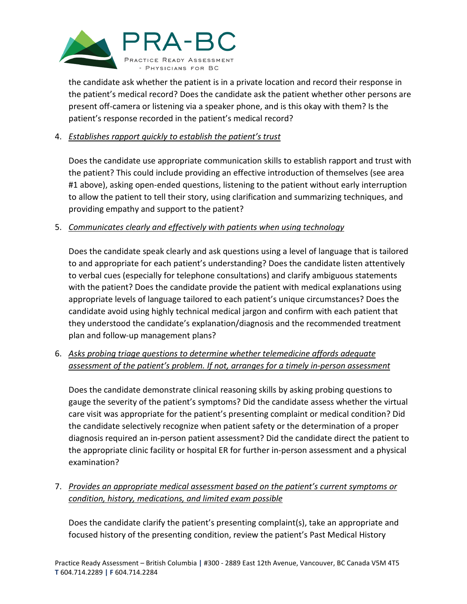

the candidate ask whether the patient is in a private location and record their response in the patient's medical record? Does the candidate ask the patient whether other persons are present off-camera or listening via a speaker phone, and is this okay with them? Is the patient's response recorded in the patient's medical record?

### 4. *Establishes rapport quickly to establish the patient's trust*

Does the candidate use appropriate communication skills to establish rapport and trust with the patient? This could include providing an effective introduction of themselves (see area #1 above), asking open-ended questions, listening to the patient without early interruption to allow the patient to tell their story, using clarification and summarizing techniques, and providing empathy and support to the patient?

### 5. *Communicates clearly and effectively with patients when using technology*

Does the candidate speak clearly and ask questions using a level of language that is tailored to and appropriate for each patient's understanding? Does the candidate listen attentively to verbal cues (especially for telephone consultations) and clarify ambiguous statements with the patient? Does the candidate provide the patient with medical explanations using appropriate levels of language tailored to each patient's unique circumstances? Does the candidate avoid using highly technical medical jargon and confirm with each patient that they understood the candidate's explanation/diagnosis and the recommended treatment plan and follow-up management plans?

## 6. *Asks probing triage questions to determine whether telemedicine affords adequate assessment of the patient's problem. If not, arranges for a timely in-person assessment*

Does the candidate demonstrate clinical reasoning skills by asking probing questions to gauge the severity of the patient's symptoms? Did the candidate assess whether the virtual care visit was appropriate for the patient's presenting complaint or medical condition? Did the candidate selectively recognize when patient safety or the determination of a proper diagnosis required an in-person patient assessment? Did the candidate direct the patient to the appropriate clinic facility or hospital ER for further in-person assessment and a physical examination?

### 7. *Provides an appropriate medical assessment based on the patient's current symptoms or condition, history, medications, and limited exam possible*

Does the candidate clarify the patient's presenting complaint(s), take an appropriate and focused history of the presenting condition, review the patient's Past Medical History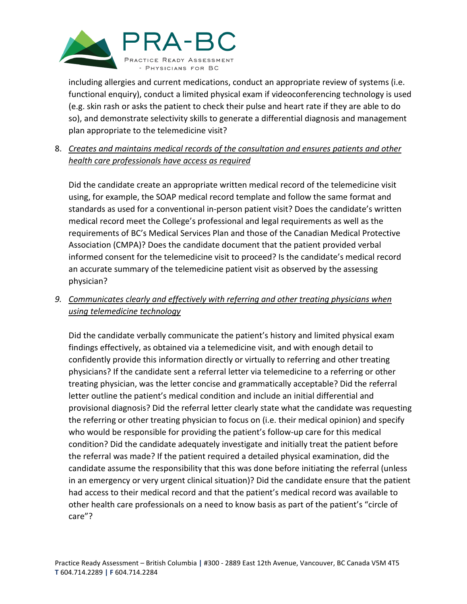

including allergies and current medications, conduct an appropriate review of systems (i.e. functional enquiry), conduct a limited physical exam if videoconferencing technology is used (e.g. skin rash or asks the patient to check their pulse and heart rate if they are able to do so), and demonstrate selectivity skills to generate a differential diagnosis and management plan appropriate to the telemedicine visit?

## 8. *Creates and maintains medical records of the consultation and ensures patients and other health care professionals have access as required*

Did the candidate create an appropriate written medical record of the telemedicine visit using, for example, the SOAP medical record template and follow the same format and standards as used for a conventional in-person patient visit? Does the candidate's written medical record meet the College's professional and legal requirements as well as the requirements of BC's Medical Services Plan and those of the Canadian Medical Protective Association (CMPA)? Does the candidate document that the patient provided verbal informed consent for the telemedicine visit to proceed? Is the candidate's medical record an accurate summary of the telemedicine patient visit as observed by the assessing physician?

# *9. Communicates clearly and effectively with referring and other treating physicians when using telemedicine technology*

Did the candidate verbally communicate the patient's history and limited physical exam findings effectively, as obtained via a telemedicine visit, and with enough detail to confidently provide this information directly or virtually to referring and other treating physicians? If the candidate sent a referral letter via telemedicine to a referring or other treating physician, was the letter concise and grammatically acceptable? Did the referral letter outline the patient's medical condition and include an initial differential and provisional diagnosis? Did the referral letter clearly state what the candidate was requesting the referring or other treating physician to focus on (i.e. their medical opinion) and specify who would be responsible for providing the patient's follow-up care for this medical condition? Did the candidate adequately investigate and initially treat the patient before the referral was made? If the patient required a detailed physical examination, did the candidate assume the responsibility that this was done before initiating the referral (unless in an emergency or very urgent clinical situation)? Did the candidate ensure that the patient had access to their medical record and that the patient's medical record was available to other health care professionals on a need to know basis as part of the patient's "circle of care"?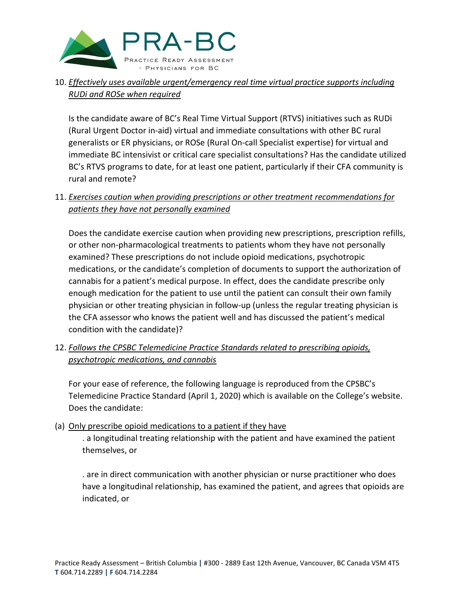

## 10. *Effectively uses available urgent/emergency real time virtual practice supports including RUDi and ROSe when required*

Is the candidate aware of BC's Real Time Virtual Support (RTVS) initiatives such as RUDi (Rural Urgent Doctor in-aid) virtual and immediate consultations with other BC rural generalists or ER physicians, or ROSe (Rural On-call Specialist expertise) for virtual and immediate BC intensivist or critical care specialist consultations? Has the candidate utilized BC's RTVS programs to date, for at least one patient, particularly if their CFA community is rural and remote?

### 11. *Exercises caution when providing prescriptions or other treatment recommendations for patients they have not personally examined*

Does the candidate exercise caution when providing new prescriptions, prescription refills, or other non-pharmacological treatments to patients whom they have not personally examined? These prescriptions do not include opioid medications, psychotropic medications, or the candidate's completion of documents to support the authorization of cannabis for a patient's medical purpose. In effect, does the candidate prescribe only enough medication for the patient to use until the patient can consult their own family physician or other treating physician in follow-up (unless the regular treating physician is the CFA assessor who knows the patient well and has discussed the patient's medical condition with the candidate)?

## 12. *Follows the CPSBC Telemedicine Practice Standards related to prescribing opioids, psychotropic medications, and cannabis*

For your ease of reference, the following language is reproduced from the CPSBC's Telemedicine Practice Standard (April 1, 2020) which is available on the College's website. Does the candidate:

(a) Only prescribe opioid medications to a patient if they have . a longitudinal treating relationship with the patient and have examined the patient themselves, or

. are in direct communication with another physician or nurse practitioner who does have a longitudinal relationship, has examined the patient, and agrees that opioids are indicated, or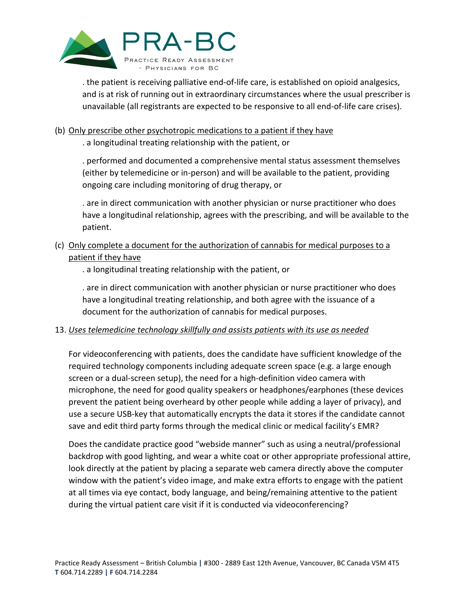

. the patient is receiving palliative end-of-life care, is established on opioid analgesics, and is at risk of running out in extraordinary circumstances where the usual prescriber is unavailable (all registrants are expected to be responsive to all end-of-life care crises).

#### (b) Only prescribe other psychotropic medications to a patient if they have

. a longitudinal treating relationship with the patient, or

. performed and documented a comprehensive mental status assessment themselves (either by telemedicine or in-person) and will be available to the patient, providing ongoing care including monitoring of drug therapy, or

. are in direct communication with another physician or nurse practitioner who does have a longitudinal relationship, agrees with the prescribing, and will be available to the patient.

## (c) Only complete a document for the authorization of cannabis for medical purposes to a patient if they have

. a longitudinal treating relationship with the patient, or

. are in direct communication with another physician or nurse practitioner who does have a longitudinal treating relationship, and both agree with the issuance of a document for the authorization of cannabis for medical purposes.

### 13. *Uses telemedicine technology skillfully and assists patients with its use as needed*

For videoconferencing with patients, does the candidate have sufficient knowledge of the required technology components including adequate screen space (e.g. a large enough screen or a dual-screen setup), the need for a high-definition video camera with microphone, the need for good quality speakers or headphones/earphones (these devices prevent the patient being overheard by other people while adding a layer of privacy), and use a secure USB-key that automatically encrypts the data it stores if the candidate cannot save and edit third party forms through the medical clinic or medical facility's EMR?

Does the candidate practice good "webside manner" such as using a neutral/professional backdrop with good lighting, and wear a white coat or other appropriate professional attire, look directly at the patient by placing a separate web camera directly above the computer window with the patient's video image, and make extra efforts to engage with the patient at all times via eye contact, body language, and being/remaining attentive to the patient during the virtual patient care visit if it is conducted via videoconferencing?